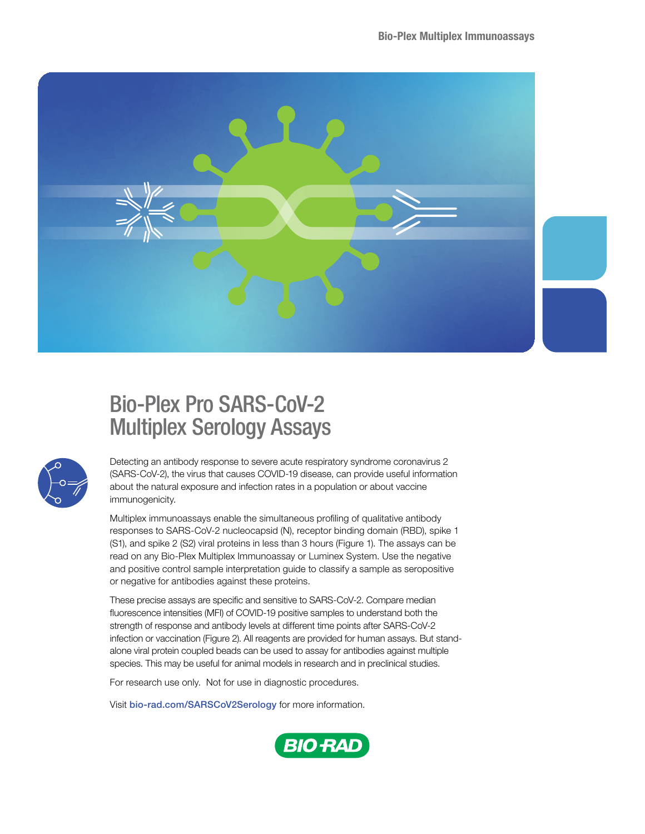

# Bio-Plex Pro SARS-CoV-2 Multiplex Serology Assays



Detecting an antibody response to severe acute respiratory syndrome coronavirus 2 (SARS-CoV-2), the virus that causes COVID-19 disease, can provide useful information about the natural exposure and infection rates in a population or about vaccine immunogenicity.

Multiplex immunoassays enable the simultaneous profiling of qualitative antibody responses to SARS-CoV-2 nucleocapsid (N), receptor binding domain (RBD), spike 1 (S1), and spike 2 (S2) viral proteins in less than 3 hours (Figure 1). The assays can be read on any Bio-Plex Multiplex Immunoassay or Luminex System. Use the negative and positive control sample interpretation guide to classify a sample as seropositive or negative for antibodies against these proteins.

These precise assays are specific and sensitive to SARS-CoV-2. Compare median fluorescence intensities (MFI) of COVID-19 positive samples to understand both the strength of response and antibody levels at different time points after SARS-CoV-2 infection or vaccination (Figure 2). All reagents are provided for human assays. But standalone viral protein coupled beads can be used to assay for antibodies against multiple species. This may be useful for animal models in research and in preclinical studies.

For research use only. Not for use in diagnostic procedures.

Visit [bio-rad.com/SARSCoV2Serology](http://bio-rad.com/SARSCoV2Serology) for more information.